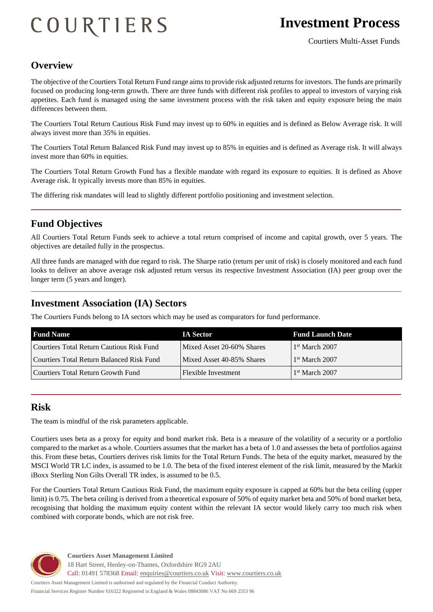# COURTIERS

# **Investment Process**

#### **Overview**

The objective of the Courtiers Total Return Fund range aims to provide risk adjusted returns for investors. The funds are primarily focused on producing long-term growth. There are three funds with different risk profiles to appeal to investors of varying risk appetites. Each fund is managed using the same investment process with the risk taken and equity exposure being the main differences between them.

The Courtiers Total Return Cautious Risk Fund may invest up to 60% in equities and is defined as Below Average risk. It will always invest more than 35% in equities.

The Courtiers Total Return Balanced Risk Fund may invest up to 85% in equities and is defined as Average risk. It will always invest more than 60% in equities.

The Courtiers Total Return Growth Fund has a flexible mandate with regard its exposure to equities. It is defined as Above Average risk. It typically invests more than 85% in equities.

The differing risk mandates will lead to slightly different portfolio positioning and investment selection.

#### **Fund Objectives**

All Courtiers Total Return Funds seek to achieve a total return comprised of income and capital growth, over 5 years. The objectives are detailed fully in the prospectus.

All three funds are managed with due regard to risk. The Sharpe ratio (return per unit of risk) is closely monitored and each fund looks to deliver an above average risk adjusted return versus its respective Investment Association (IA) peer group over the longer term (5 years and longer).

#### **Investment Association (IA) Sectors**

The Courtiers Funds belong to IA sectors which may be used as comparators for fund performance.

| <b>Fund Name</b>                          | <b>IA Sector</b>          | <b>Fund Launch Date</b>    |
|-------------------------------------------|---------------------------|----------------------------|
| Courtiers Total Return Cautious Risk Fund | Mixed Asset 20-60% Shares | 1 <sup>st</sup> March 2007 |
| Courtiers Total Return Balanced Risk Fund | Mixed Asset 40-85% Shares | 1 <sup>st</sup> March 2007 |
| Courtiers Total Return Growth Fund        | Flexible Investment       | $1st$ March 2007           |

#### **Risk**

The team is mindful of the risk parameters applicable.

Courtiers uses beta as a proxy for equity and bond market risk. Beta is a measure of the volatility of a security or a portfolio compared to the market as a whole. Courtiers assumes that the market has a beta of 1.0 and assesses the beta of portfolios against this. From these betas, Courtiers derives risk limits for the Total Return Funds. The beta of the equity market, measured by the MSCI World TR LC index, is assumed to be 1.0. The beta of the fixed interest element of the risk limit, measured by the Markit iBoxx Sterling Non Gilts Overall TR index, is assumed to be 0.5.

For the Courtiers Total Return Cautious Risk Fund, the maximum equity exposure is capped at 60% but the beta ceiling (upper limit) is 0.75. The beta ceiling is derived from a theoretical exposure of 50% of equity market beta and 50% of bond market beta, recognising that holding the maximum equity content within the relevant IA sector would likely carry too much risk when combined with corporate bonds, which are not risk free.



**Courtiers Asset Management Limited** 18 Hart Street, Henley-on-Thames, Oxfordshire RG9 2AU Call: 01491 578368 Email: [enquiries@courtiers.co.uk](mailto:enquiries@courtiers.co.uk) Visit: [www.courtiers.co.uk](http://www.courtiers.co.uk/)

Courtiers Asset Management Limited is authorised and regulated by the Financial Conduct Authority. Financial Services Register Number 616322 Registered in England & Wales 08843086 VAT No 669 2553 96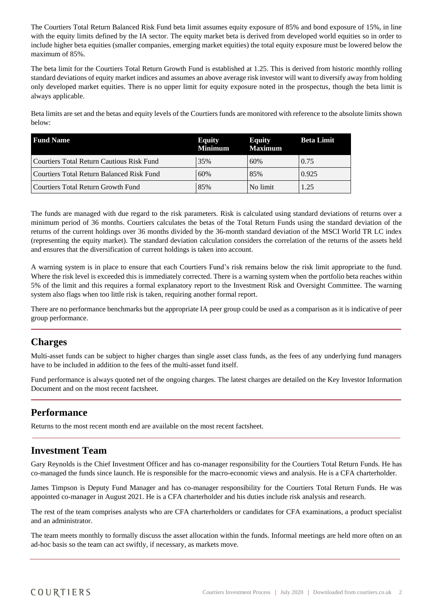The Courtiers Total Return Balanced Risk Fund beta limit assumes equity exposure of 85% and bond exposure of 15%, in line with the equity limits defined by the IA sector. The equity market beta is derived from developed world equities so in order to include higher beta equities (smaller companies, emerging market equities) the total equity exposure must be lowered below the maximum of 85%.

The beta limit for the Courtiers Total Return Growth Fund is established at 1.25. This is derived from historic monthly rolling standard deviations of equity market indices and assumes an above average risk investor will want to diversify away from holding only developed market equities. There is no upper limit for equity exposure noted in the prospectus, though the beta limit is always applicable.

Beta limits are set and the betas and equity levels of the Courtiers funds are monitored with reference to the absolute limits shown below:

| <b>Fund Name</b>                          | <b>Equity</b><br><b>Minimum</b> | <b>Equity</b><br><b>Maximum</b> | <b>Beta Limit</b> |
|-------------------------------------------|---------------------------------|---------------------------------|-------------------|
| Courtiers Total Return Cautious Risk Fund | 35%                             | 60%                             | 0.75              |
| Courtiers Total Return Balanced Risk Fund | 60%                             | 85%                             | 0.925             |
| Courtiers Total Return Growth Fund        | 85%                             | No limit                        | 1.25              |

The funds are managed with due regard to the risk parameters. Risk is calculated using standard deviations of returns over a minimum period of 36 months. Courtiers calculates the betas of the Total Return Funds using the standard deviation of the returns of the current holdings over 36 months divided by the 36-month standard deviation of the MSCI World TR LC index (representing the equity market). The standard deviation calculation considers the correlation of the returns of the assets held and ensures that the diversification of current holdings is taken into account.

A warning system is in place to ensure that each Courtiers Fund's risk remains below the risk limit appropriate to the fund. Where the risk level is exceeded this is immediately corrected. There is a warning system when the portfolio beta reaches within 5% of the limit and this requires a formal explanatory report to the Investment Risk and Oversight Committee. The warning system also flags when too little risk is taken, requiring another formal report.

There are no performance benchmarks but the appropriate IA peer group could be used as a comparison as it is indicative of peer group performance.

#### **Charges**

Multi-asset funds can be subject to higher charges than single asset class funds, as the fees of any underlying fund managers have to be included in addition to the fees of the multi-asset fund itself.

Fund performance is always quoted net of the ongoing charges. The latest charges are detailed on the Key Investor Information Document and on the most recent factsheet.

#### **Performance**

Returns to the most recent month end are available on the most recent factsheet.

## **Investment Team**

Gary Reynolds is the Chief Investment Officer and has co-manager responsibility for the Courtiers Total Return Funds. He has co-managed the funds since launch. He is responsible for the macro-economic views and analysis. He is a CFA charterholder.

James Timpson is Deputy Fund Manager and has co-manager responsibility for the Courtiers Total Return Funds. He was appointed co-manager in August 2021. He is a CFA charterholder and his duties include risk analysis and research.

The rest of the team comprises analysts who are CFA charterholders or candidates for CFA examinations, a product specialist and an administrator.

The team meets monthly to formally discuss the asset allocation within the funds. Informal meetings are held more often on an ad-hoc basis so the team can act swiftly, if necessary, as markets move.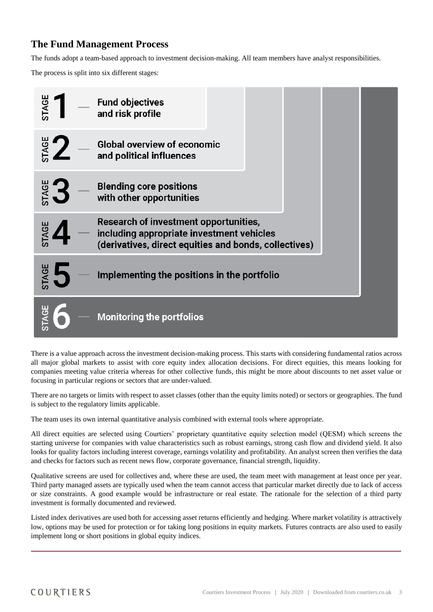## **The Fund Management Process**

The funds adopt a team-based approach to investment decision-making. All team members have analyst responsibilities.

The process is split into six different stages:



There is a value approach across the investment decision-making process. This starts with considering fundamental ratios across all major global markets to assist with core equity index allocation decisions. For direct equities, this means looking for companies meeting value criteria whereas for other collective funds, this might be more about discounts to net asset value or focusing in particular regions or sectors that are under-valued.

There are no targets or limits with respect to asset classes (other than the equity limits noted) or sectors or geographies. The fund is subject to the regulatory limits applicable.

The team uses its own internal quantitative analysis combined with external tools where appropriate.

All direct equities are selected using Courtiers' proprietary quantitative equity selection model (QESM) which screens the starting universe for companies with value characteristics such as robust earnings, strong cash flow and dividend yield. It also looks for quality factors including interest coverage, earnings volatility and profitability. An analyst screen then verifies the data and checks for factors such as recent news flow, corporate governance, financial strength, liquidity.

Qualitative screens are used for collectives and, where these are used, the team meet with management at least once per year. Third party managed assets are typically used when the team cannot access that particular market directly due to lack of access or size constraints. A good example would be infrastructure or real estate. The rationale for the selection of a third party investment is formally documented and reviewed.

Listed index derivatives are used both for accessing asset returns efficiently and hedging. Where market volatility is attractively low, options may be used for protection or for taking long positions in equity markets. Futures contracts are also used to easily implement long or short positions in global equity indices.